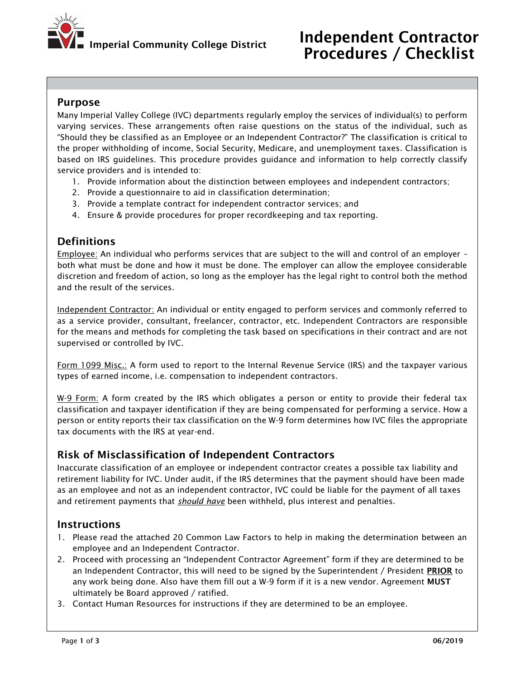

#### Purpose

Many Imperial Valley College (IVC) departments regularly employ the services of individual(s) to perform varying services. These arrangements often raise questions on the status of the individual, such as "Should they be classified as an Employee or an Independent Contractor?" The classification is critical to the proper withholding of income, Social Security, Medicare, and unemployment taxes. Classification is based on IRS guidelines. This procedure provides guidance and information to help correctly classify service providers and is intended to:

- 1. Provide information about the distinction between employees and independent contractors;
- 2. Provide a questionnaire to aid in classification determination;
- 3. Provide a template contract for independent contractor services; and
- 4. Ensure & provide procedures for proper recordkeeping and tax reporting.

## **Definitions**

Employee: An individual who performs services that are subject to the will and control of an employer – both what must be done and how it must be done. The employer can allow the employee considerable discretion and freedom of action, so long as the employer has the legal right to control both the method and the result of the services.

Independent Contractor: An individual or entity engaged to perform services and commonly referred to as a service provider, consultant, freelancer, contractor, etc. Independent Contractors are responsible for the means and methods for completing the task based on specifications in their contract and are not supervised or controlled by IVC.

Form 1099 Misc.: A form used to report to the Internal Revenue Service (IRS) and the taxpayer various types of earned income, i.e. compensation to independent contractors.

W-9 Form: A form created by the IRS which obligates a person or entity to provide their federal tax classification and taxpayer identification if they are being compensated for performing a service. How a person or entity reports their tax classification on the W-9 form determines how IVC files the appropriate tax documents with the IRS at year-end.

## Risk of Misclassification of Independent Contractors

Inaccurate classification of an employee or independent contractor creates a possible tax liability and retirement liability for IVC. Under audit, if the IRS determines that the payment should have been made as an employee and not as an independent contractor, IVC could be liable for the payment of all taxes and retirement payments that *should have* been withheld, plus interest and penalties.

## **Instructions**

- 1. Please read the attached 20 Common Law Factors to help in making the determination between an employee and an Independent Contractor.
- 2. Proceed with processing an "Independent Contractor Agreement" form if they are determined to be an Independent Contractor, this will need to be signed by the Superintendent / President PRIOR to any work being done. Also have them fill out a W-9 form if it is a new vendor. Agreement MUST ultimately be Board approved / ratified.
- 3. Contact Human Resources for instructions if they are determined to be an employee.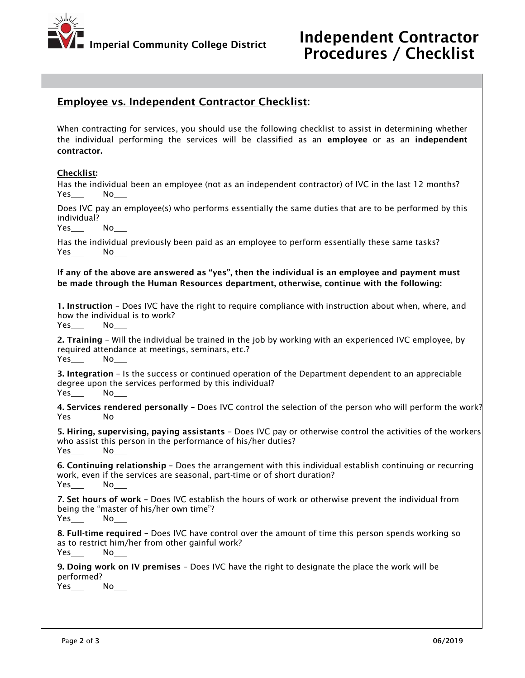

# Employee vs. Independent Contractor Checklist:

When contracting for services, you should use the following checklist to assist in determining whether the individual performing the services will be classified as an employee or as an independent contractor.

#### Checklist:

Has the individual been an employee (not as an independent contractor) of IVC in the last 12 months? Yes\_\_\_\_ No\_

Does IVC pay an employee(s) who performs essentially the same duties that are to be performed by this individual?

Yes No

Has the individual previously been paid as an employee to perform essentially these same tasks? Yes No

If any of the above are answered as "yes", then the individual is an employee and payment must be made through the Human Resources department, otherwise, continue with the following:

1. Instruction – Does IVC have the right to require compliance with instruction about when, where, and how the individual is to work?

Yes No

2. Training – Will the individual be trained in the job by working with an experienced IVC employee, by required attendance at meetings, seminars, etc.? Yes No

3. Integration – Is the success or continued operation of the Department dependent to an appreciable degree upon the services performed by this individual? Yes No

4. Services rendered personally - Does IVC control the selection of the person who will perform the work? Yes No

5. Hiring, supervising, paying assistants – Does IVC pay or otherwise control the activities of the workers who assist this person in the performance of his/her duties? Yes No

6. Continuing relationship – Does the arrangement with this individual establish continuing or recurring work, even if the services are seasonal, part-time or of short duration? Yes No

7. Set hours of work – Does IVC establish the hours of work or otherwise prevent the individual from being the "master of his/her own time"?

Yes No

8. Full-time required – Does IVC have control over the amount of time this person spends working so as to restrict him/her from other gainful work? Yes No

9. Doing work on IV premises – Does IVC have the right to designate the place the work will be performed?

 $Yes$  No\_